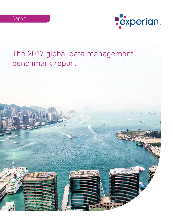

# The 2017 global data management benchmark report

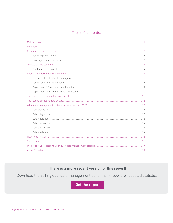# Table of contents:

# There is a more recent version of this report!

Download the 2018 global data management benchmark report for updated statistics.

Get the report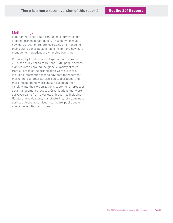# Methodology

Experian has once again conducted a survey to look at global trends in data quality. This study looks at how data practitioners are leveraging and managing their data to generate actionable insight and how data management practices are changing over time.

Produced by Loudhouse for Experian in November 2016, the study polled more than 1,400 people across eight countries around the globe. A variety of roles from all areas of the organization were surveyed, including information technology, data management, marketing, customer service, sales, operations, and more. Respondents were chosen based on their visibility into their organization's customer or prospect data management practices. Organizations that were surveyed came from a variety of industries including IT, telecommunications, manufacturing, retail, business services, financial services, healthcare, public sector, education, utilities, and more.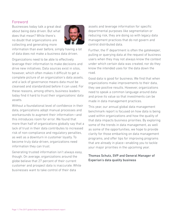# Foreword

Businesses today talk a great deal about being data driven. But what does that mean? While there's no doubt that organizations are collecting and generating more



information than ever before, simply having a lot of data does not make a business data driven.

Organizations need to be able to effectively leverage their information to make decisions and drive new initiatives. Data sources exist in silos, however, which often makes it difficult to get a complete picture of an organization's data assets, and a lack of governance means data must be cleansed and standardized before it can used. For these reasons, among others, business leaders today find it hard to trust their organizations' data assets.

Without a foundational level of confidence in their data, organizations adopt manual processes and workarounds to augment their information—and this introduces room for error. We found that more than half of organizations globally say that a lack of trust in their data contributes to increased risk of non-compliance and regulatory penalties, as well as a downturn in customer loyalty. To become truly data-driven, organizations need information they can trust.

Generating trusted information isn't always easy, though. On average, organizations around the globe believe that 27 percent of their current customer and prospect data is inaccurate. While businesses want to take control of their data

assets and leverage information for specific departmental purposes like segmentation or reducing risk, they are doing so with legacy data management practices that do not govern and control distributed data.

Further, the IT department is often the gatekeeper, pulling or querying data at the request of business users when they may not always know the context under which certain data was created, nor do they know the intended uses for the data down the road.

Good data is good for business. We find that when organizations make improvements to their data, they see positive results. However, organizations need to speak a common language around data and prove its value so that investments can be made in data management practices.

This year, our annual global data management benchmark report is focused on how data is being used within organizations and how the quality of that data impacts business priorities. By exploring some of the trends in data management, as well as some of the opportunities, we hope to provide clarity for those embarking on data management programs, and offer tips for improving programs that are already in place—enabling you to tackle your major priorities in the upcoming year.

## Thomas Schutz, SVP and General Manager of Experian's data quality business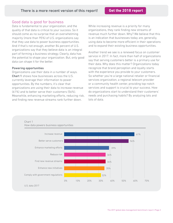# Good data is good for business

Data is fundamental to your organization, and the quality of that data is critical to your success. So it should come as no surprise that an overwhelming majority (more than 95%) of U.S. organizations say that they use data to power business opportunities. And if that's not enough, another 84 percent of U.S. organizations say that they believe data is an integral part of forming a business strategy. Clearly, data has the potential to shape your organization. But, only good data can shape it for the better.

#### Powering opportunities

Organizations use their data in a number of ways. Chart 1 shows how businesses across the U.S. currently leverage their information to power opportunities. By the numbers, it's clear that organizations are using their data to increase revenue (61%) and to better serve their customers (56%). Meanwhile, enhancing marketing efforts, reducing risk, and finding new revenue streams rank further down.

While increasing revenue is a priority for many organizations, they rank finding new streams of revenue much further down. Why? We believe that this is an indication that businesses today are, generally, using data to become more efficient in their operations and to expand their existing business opportunities.

Another trend we see is a renewed focus on customer service in 2017. In fact, more than half of organizations say that serving customers better is a primary use for their data. Why does this matter? Organizations today recognize that brand perception and loyalty starts with the experience you provide to your customers. So whether you're a large national retailer or financial services organization, a regional telecom provider or a community health center, providing top-notch services and support is crucial to your success. How do organizations start to understand their customers' needs and purchasing habits? By analyzing lots and lots of data.



Chart 1 How data powers business opportunities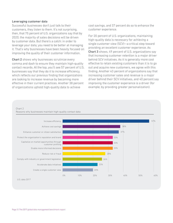#### Leveraging customer data

Successful businesses don't just talk to their customers, they listen to them. It's not surprising, then, that 75 percent of U.S. organizations say that by 2020, the majority of sales decisions will be driven by customer data. But there's a catch: in order to leverage your data, you need to be better at managing it. That's why businesses have been heavily focused on improving the quality of their customer information.

Chart 2 shows why businesses scrutinize every comma and dash to ensure they maintain high-quality contact records. At the top, you'll see 57 percent of U.S. businesses say that they do it to increase efficiency, which reflects our previous finding that organizations are looking to increase revenue by becoming more effective in their current practices. Another 38 percent of organizations uphold high-quality data to achieve

cost savings, and 37 percent do so to enhance the customer experience.

For 20 percent of U.S. organizations, maintaining high-quality data is necessary for achieving a single customer view (SCV)—a critical step toward providing an excellent customer experience. As Chart 3 shows, 49 percent of U.S. organizations say that increasing customer retention is a major driver behind SCV initiatives. As it is generally more cost effective to retain existing customers than it is to go out and acquire new customers, we agree with this finding. Another 43 percent of organizations say that increasing customer sales and revenue is a major driver behind their SCV initiatives, and 40 percent say improving the customer experience is a driver (for example, by providing greater personalization).

#### Chart 2 Reasons why businesses maintain high-quality contact data



U.S. data 2017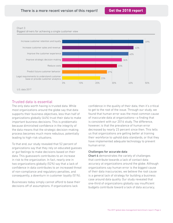#### Chart 3





# Trusted data is essential

The only data worth having is trusted data. While most organizations around the globe say that data supports their business objectives, less than half of organizations globally (44%) trust their data to make important business decisions. This is problematic because diminished confidence in the integrity of the data means that the strategic decision-making process becomes much more nebulous, potentially leading to high-risk situations.

To that end, our study revealed that 52 percent of organizations say that they rely on educated guesses or gut feelings to make decisions based on their data. This guesswork contributes to an increase in risk to the organization. In fact, nearly one in two organizations globally (52%) say that a lack of confidence in data contributes to an increased threat of non-compliance and regulatory penalties, and consequently, a downturn in customer loyalty (51%).

Businesses today simply cannot afford to base their decisions off of assumptions. If organizations lack

confidence in the quality of their data, then it's critical to get to the root of the issue. Through our study, we found that human error was the most common cause of inaccurate data at organizations—a finding that is consistent with our 2016 study. The difference, however, is that the prevalence of human error decreased by nearly 23 percent since then. This tells us that organizations are getting better at training their workforce to uphold data standards, or that they have implemented adequate technology to prevent human error.

#### Challenges for accurate data

Chart 4 demonstrates the variety of challenges that contribute towards a lack of contact data accuracy at organizations around the globe. Although organizations say human error is the biggest cause of their data inaccuracies, we believe the root cause is a general lack of strategy for building a business case around data quality. Our study revealed that one-third of organizations globally say insufficient budgets contribute toward a lack of data accuracy,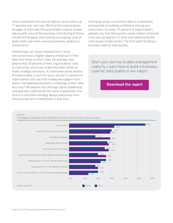which represents the second highest cause and is up 11 percent over last year. We find that organizations struggle to articulate the quantifiable impacts of poor data quality around the business, contributing to these insufficient budgets and creating an ongoing cycle of fewer tools and more manual processes, leading to human error.

Interestingly, our study revealed that C-level executives have a higher degree of distrust in their data than those in other roles. On average, they believe that 33 percent of their organizations' data is inaccurate, which can undermine their ability to make strategic decisions. If C-level executives believe erroneous data is such an issue, why do 21 percent of organizations still say that inadequate support from senior management presents a challenge to their data accuracy? We believe that although senior leadership conceptually understands the value of good data, the lack of a solid data strategy delays executives from making long-term investments in that area.

Having accurate, trustworthy data is a necessary prerequisite to building confidence among your consumers. So when 72 percent of organizations globally say that data quality issues impact consumer trust and perception, it's time start addressing the root causes of data errors. The first step? Building a business case for data quality.

Start your journey to data management maturity. Learn how to build a business case for data quality in our report.

**[Download the report](https://www.edq.com/resources/data-management-whitepapers/building-a-business-case-for-data-quality/?utm_medium=PDF&utm_campaign=2017+global+data+management+benchmark+report&utm_source=White+paper
)**

Chart 4

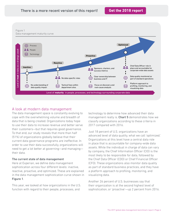Figure 1



# A look at modern data management

The data management space is constantly evolving to cope with the overwhelming volume and breadth of data that is being created. Organizations today hope to use their data to increase revenue and better serve their customers—but that requires good governance. To that end, our study reveals that more than half (51%) of organizations globally believe that their current data governance programs are ineffective. In order to use their data successfully, organizations will need to get a lot better at governing—and managing their data.

#### The current state of data management

Here at Experian, we define data management sophistication across four different levels: inactive, reactive, proactive, and optimized. These are explained in the data management sophistication curve shown in Figure 1.

This year, we looked at how organizations in the U.S. function with regard to their people, processes, and

technology to determine how advanced their data management really is. Chart 5 demonstrates how we classify organizations according to these criteria in 2017 compared with 2016.

Just 18 percent of U.S. organizations have an advanced level of data quality, what we call 'optimized.' Organizations at this level have a central data role in place that is accountable for company-wide data assets. While the individual in charge of data can vary by company, the Chief Information Officer (CIO) is the most likely to be responsible for data, followed by the Chief Data Officer (CDO) or Chief Financial Officer (CFO). These organizations also monitor data quality as part of standard business practices, and they have a platform approach to profiling, monitoring, and visualizing data.

Another 26 percent of U.S. businesses say that their organization is at the second highest level of sophistication, or 'proactive'—up 2 percent from 2016.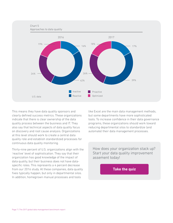#### Chart 5



This means they have data quality sponsors and clearly defined success metrics. These organizations indicate that there is clear ownership of the data quality process between the business and IT. They also say that technical aspects of data quality focus on discovery and root cause analysis. Organizations at this level should work to create a central data quality role and establish standardized processes for continuous data quality monitoring.

Thirty-nine percent of U.S. organizations align with the 'reactive' level of sophistication. They say that their organization has good knowledge of the impact of data quality, but their business does not have dataspecific roles. This represents a 4 percent decrease from our 2016 study. At these companies, data quality fixes typically happen, but only in departmental silos. In addition, homegrown manual processes and tools

like Excel are the main data management methods, but some departments have more sophisticated tools. To increase confidence in their data governance programs, these organizations should work toward reducing departmental silos to standardize (and automate) their data management processes.

How does your organization stack up? Start your data quality improvement assement today!

**[Take the quiz](https://www.edq.com/data-quality-tools/dqia/?utm_medium=PDF&utm_campaign=2017+global+data+management+benchmark+report&utm_source=White+paper
)**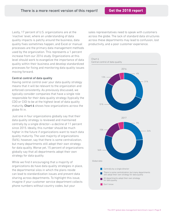Lastly, 17 percent of U.S. organizations are at the 'inactive' level, where an understanding of data quality impacts is patchy around the business, data quality fixes sometimes happen, and Excel or manual processes are the primary data management methods used by the organization. This represents a 1 percent increase from our 2016 study. Organizations at this level should work to evangelize the importance of data quality within their business and develop standardized processes for fixing and monitoring data quality issues moving forward.

### Central control of data quality

Having central control over your data quality strategy means that it will be relevant to the organization and enforced consistently. As previously discussed, we typically consider companies that have a single role responsible for their data quality strategy (typically the CDO or CIO) to be at the highest level of data quality maturity. Chart 6 shows how organizations across the globe fit in.

Just one in four organizations globally say that their data quality strategy is reviewed and maintained centrally by a single director—a decline of 11 percent since 2015. Ideally, this number should be much higher in the future if organizations want to reach data quality maturity. The vast majority of organizations (56%), however, say that there is some centralization, but many departments still adopt their own strategy for data quality. Worse yet, 15 percent of organizations globally say that all departments adopt their own strategy for data quality.

While we find it encouraging that a majority of organizations do have data quality strategies in place, the departmental silos in which the plans reside can lead to standardization issues and prevent data sharing across departments. To highlight this issue, imagine if your customer service department collects phone numbers without country codes, but your

sales representatives need to speak with customers across the globe. The lack of standard data structures across these departments may lead to confusion, lost productivity, and a poor customer experience.

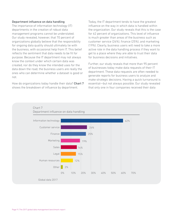#### Department influence on data handling

The importance of information technology (IT) departments in the creation of robust data management programs cannot be understated. Our study revealed, however, that 70 percent of organizations globally believe that the responsibility for ongoing data quality should ultimately lie with the business, with occasional help from IT. This belief reflects the sentiment that data needs to be fit for purpose. Because the IT department may not always know the context under which certain data was created, nor do they know the intended uses for the data down the road, the business users are really the ones who can determine whether a dataset is good or not.

How do organizations today handle their data? Chart 7 shows the breakdown of influence by department.

Today, the IT department tends to have the greatest influence on the way in which data is handled within the organization. Our study reveals that this is the case for 62 percent of organizations. This level of influence is much greater than areas of the business such as customer service (26%), finance (25%), and marketing (19%). Clearly, business users will need to take a more active role in the data handling process if they want to get to a place where they are able to trust their data for business decisions and initiatives.

Further, our study reveals that more than 95 percent of businesses today make data requests of their IT department. These data requests are often needed to generate reports for business users to analyze and make strategic decisions. Having a quick turnaround is essential—but not always possible. Our study revealed that only one in four companies received their data

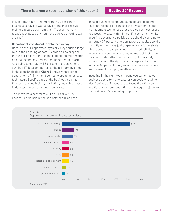in just a few hours, and more than 70 percent of businesses have to wait a day or longer to receive their requested data from their IT department. In today's fast-paced environment, can you afford to wait around?

#### Department investment in data technology

Because the IT department typically plays such a large role in the handling of data, it comes as no surprise that the IT department tends to spend the most money on data technology and data management platforms. According to our study, 53 percent of organizations say their IT department makes the primary investment in these technologies. Chart 8 shows where other departments fit in when it comes to spending on data technology. Specific lines of the business, such as finance, data and insight, marketing, and sales invest in data technology at a much lower rate.

This is where a central role like a CIO or CDO is needed to help bridge the gap between IT and the lines of business to ensure all needs are being met. This centralized role can lead the investment in data management technology that enables business users to access the data with minimal IT involvement while ensuring governance policies are upheld. According to our study, 37 percent of organizations globally spend a majority of their time just preparing data for analysis. This represents a significant loss in productivity, as expensive resources are spending most of their time cleansing data rather than analyzing it. Our study shows that with the right data management solution in place, 83 percent of organizations have seen some improvement in employee efficiency.

Investing in the right tools means you can empower business users to make data-driven decisions while also freeing up IT resources to focus their time on additional revenue-generating or strategic projects for the business. It's a winning proposition.



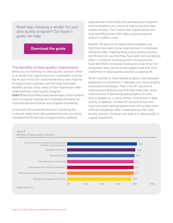Need help choosing a vendor for your data quality program? Our buyer's guide can help.

# **[Download the guide](https://www.edq.com/white-papers/data-quality-buyer-guide-form/?utm_medium=PDF&utm_campaign=2017+global+data+management+benchmark+report&utm_source=White+paper
)**

## The benefits of data quality investments

When you're investing in a data quality solution, there is no doubt that a good return on investment is at the top of your mind. Our study found that a vast majority of organizations globally say that they have seen benefits across many areas of their businesses after implementing a data quality program.

Chart 9 demonstrates these advantages, which extend from increased revenue and employee efficiency to improved personalization and targeted marketing.

In line with the increased focus on improving the customer experience discussed previously, our study revealed that 85 percent of organizations globally

experienced more timely and personalized customer communications as a result of improving their data quality solution. This means that organizations are truly benefiting from their data quality programs where it matters most.

Another 83 percent of organizations globally say that they have seen some improvement in employee efficiency after implementing a data quality solution, and 82 percent say that they have seen some progress when it comes to revenue growth. As businesses have identified increasing revenue as a top driver for using their data, we are encouraged to see that their investment in data quality solutions is paying off.

When it comes to data-related projects, silos between databases or unknowns in datasets can cause lengthy (and expensive) delays. That's why 81 percent of organizations globally say that they have seen some improvement in delivering data projects on time and on budget as a result of their investment in data quality. In addition, another 81 percent of say that they have seen some progress with linking data from different databases after implementing their data quality solution. However you look at it, data quality is a good investment.

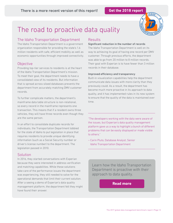

# The road to proactive data quality

# The Idaho Transportation Department

The Idaho Transportation Department is a government organization responsible for providing the state's 1.6 million residents with safe, efficient mobility as well as economic opportunities through improved connectivity.

# **Objective**

Providing top-tier services to residents is at the heart of the Idaho Transportation Department's mission. To meet their goal, the department needs to have a consolidated view of its residents. But information that is spread across siloed databases prevents the department from accurately matching DMV customer records.

To further complicate matters, the department's mainframe data table structure is non-relational, so every record in the mainframe represents one transaction. This means that if a resident owns three vehicles, they will have three records even though they are the same person.

In an effort to consolidate duplicate records for individuals, the Transportation Department lobbied for the state of Idaho to put legislation in place that requires residents to provide unique identifying information (such as a Social Security number or driver's license number) to the department. The legislation passed in 2010.

# **Solution**

In 2016, they started conversations with Experian because they were interested in address verification and matching capabilities. While these solutions take care of the performance issues the department was experiencing, they still needed to solve for the operational demands that limit their current solution. After a seeing a demo of Experian's data quality management platform, the department felt they might have found their answer.

# Results

#### Significant reduction in the number of records

The Idaho Transportation Department is well on its way to achieving its goal of having one record per DMV customer. Through previous efforts, the department was able to go from 20 million to 8 million records. Their goal with Experian is to have fewer than 3 million records in their database.

### Improved efficiency and transparency

Built-in visualization capabilities help the department communicate data issues with more clarity than they previously could. As a result, the department has become much more proactive in its approach to data quality, and it has implemented rules in its new system to ensure that the quality of the data is maintained over time.

"The developers working with the data were aware of the issues, but Experian's data quality management platform gave us a way to highlight a bunch of different problems that can be easily displayed or made visible to others."

– Carin Pluto, Database Analyst, Senior Idaho Transportation Department

Learn how the Idaho Transportation Department is proactive with their approach to data quality.

**[Read more](https://www.edq.com/resources/case-studies/idaho-transportation-department/?utm_medium=PDF&utm_campaign=2017+global+data+management+benchmark+report&utm_source=White+paper
)**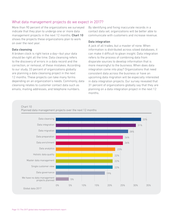# What data management projects do we expect in 2017?

More than 90 percent of the organizations we surveyed indicate that they plan to undergo one or more data management projects in the next 12 months. Chart 10 shows the projects these organizations plan to work on over the next year.

#### Data cleansing

A broken clock is right twice a day—but your data should be right all the time. Data cleansing refers to the discovery of errors in a data record and the correction, or removal, of these mistakes. According to our study, 33 percent of organizations globally are planning a data cleansing project in the next 12 months. These projects can take many forms depending on an organization's needs. Commonly, data cleansing relates to customer contact data such as emails, mailing addresses, and telephone numbers.

By identifying and fixing inaccurate records in a contact data set, organizations will be better able to communicate with customers and increase revenue.

#### Data integration

A jack of all trades, but a master of none. When information is distributed across siloed databases, it can make it difficult to glean insight. Data integration refers to the process of combining data from disparate sources to develop information that is more meaningful to the business. When does data integration come into play? Organizations that need consistent data across the business or have an upcoming data migration will be especially interested in data integration projects. Our survey revealed that 31 percent of organizations globally say that they are planning on a data integration project in the next 12 months.

#### Chart 10

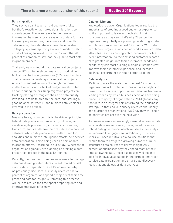#### Data migration

They say you can't teach an old dog new tricks, but that's exactly what makes data migrations so advantageous. The term refers to the transfer of information between storage systems or data formats. For many organizations, the volume and breadth of data entering their databases have placed a strain on legacy systems, spurring a wave of modernization efforts. Looking forward to the next 12 months, 28 percent of companies say that they plan to start data migration projects.

That said, we also found that data migration projects can be difficult to finish on time and on budget. In fact, almost half of organizations (40%) say that data quality issues cause delays for migration projects. A lack of standardization, not enough manpower, ineffective tools, and a lack of budget are also cited as contributing factors. Keep migration projects on track by placing a strong emphasis on data quality, investing in tools to prepare the data, and striking a good balance between IT and business stakeholders involved in the project.

#### Data preparation

Measure twice, cut once. This is the driving principle behind data preparation projects. By following an iterative, agile process, organizations can cleanse, transform, and standardize their raw data into curated datasets. While data preparation is often used for analytics and business intelligence efforts, self-service data preparation is also being used as part of data migration efforts. According to our study, 26 percent of organizations globally are planning on starting a data preparation project in the next 12 months.

Recently, the trend for more business users to manage data has driven greater interest in automated or selfservice data preparation—and it's no wonder why. As previously discussed, our study revealed that 41 percent of organizations spend a majority of their time preparing data for insight. Automating this process will help to reduce the time spent preparing data and improve employee efficiency.

#### Data enrichment

Knowledge is power. Organizations today realize the importance of creating a good customer experience, so it's important to learn as much about their consumers as they can. That's why 26 percent of organizations globally are planning on starting a data enrichment project in the next 12 months. With data enrichment, organizations can append a variety of data attributes—such as demographic, behavioral, or life event information—to their existing customer records. With greater insight into their customers' needs and habits, they can start building a single customer view, improve their customer experience, and increase business performance through better targeting.

#### Data analytics

It's time to walk the walk. Over the next 12 months, organizations will continue to look at data analytics to power their business opportunities. Data has become a leading means by which business decisions are being made—a majority of organizations (76%) globally say that data is an integral part of forming their business strategy. To that end, our survey revealed that nearly one quarter of organizations (23%) say they will begin an analytics project over the next year.

As business users increasingly demand access to data for analytics, we will see a growing need for more robust data governance, which we see as the catalyst for renewed IT engagement. Additionally, business users will need intuitive, easy-to-use solutions that enable them to navigate a growing number of multistructured data sources to derive insight. As 47 percent of businesses say they spend most of their time analyzing data, these businesses will begin to look for innovative solutions in the form of smart selfservice data preparation and smart data discovery tools that enable easier data analytics.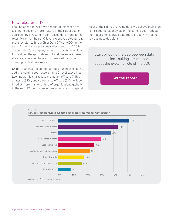### New roles for 2017

Looking ahead to 2017, we see that businesses are looking to become more mature in their data quality approach by investing in centralized data management roles. More than half of C-level executives globally say that they plan to hire a Chief Data Officer (CDO) in the next 12 months. As previously discussed, the CDO is accountable for company-wide data assets as well as for bridging the gap between IT and business interests. We are encouraged to see this renewed focus on creating central data roles.

Chart 11 shows the additional roles businesses plan to add this coming year, according to C-level executives. Looking at this chart, data protection officers (43%), analysts (38%), and compliance officers (31%) will be hired at more than one-third of organizations globally in the next 12 months. As organizations tend to spend

most of their time analyzing data, we believe their plan to hire additional analysts in the coming year reflects their desire to leverage data more broadly in making key business decisions.

Start bridging the gap between data and decision-making. Learn more about the evolving role of the CDO.

**[Get the report](https://www.edq.com/whitepapers/chief-data-officer-report/?utm_medium=PDF&utm_campaign=2017+global+data+management+benchmark+report&utm_source=White+paper
)**

Chart 11

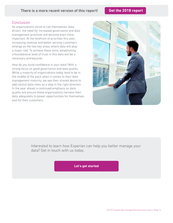# There is a more recent version of this report! **[Get the 2018 report](https://www.edq.com/globalassets/white-papers/2018-global-data-management-benchmark-report.pdf?utm_medium=PDF&utm_campaign=The+2017+global+data+management+benchmark+report&utm_source=White+paper
)**

## **Conclusion**

As organizations strive to call themselves 'data driven,' the need for increased governance and data management practices will become even more important. At the forefront of priorities this year, increasing revenue and better serving customers emerge as the two key areas where data will play a major role. To achieve these aims, establishing a foundational level of trust in this data will be a necessary prerequisite.

How do you build confidence in your data? With a strong focus on good governance and data quality. While a majority of organizations today tend to be in the middle of the pack when it comes to their data management maturity, we see their shared desire to add central data roles as a step in the right direction. In the year ahead, a continued emphasis on data quality will ensure these organizations harness their data adequately to power opportunities for themselves and for their customers.



Interested to learn how Experian can help you better manage your data? Get in touch with us today.

**[Let's get started](https://www.edq.com/contact/?utm_medium=PDF&utm_campaign=2017+global+data+management+benchmark+report&utm_source=White+paper
)**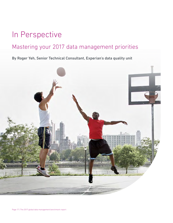# In Perspective

# Mastering your 2017 data management priorities

# By Roger Yeh, Senior Technical Consultant, Experian's data quality unit

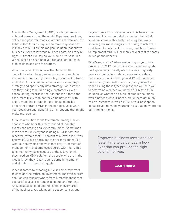Master Data Management (MDM) is a huge buzzword in boardrooms around the world. Organizations today collect and generate massive amounts of data, and the belief is that MDM is required to make any sense of it. Many see MDM as this magical solution that allows business users to leverage business data. And they're right. But that's like saying you would hire Shaquille O'Neal just so he can help you replace light bulbs in high ceilings or clean the gutters.

What many don't consider is that MDM is often overkill for what the organization actually wants to accomplish. Frequently, I see a big disconnect between all that an MDM solution can offer and a company's strategy, and specifically data strategy. For instance, are they trying to build a single customer view or consolidating records in their database? If that's the case, more likely than not they'd be better off with a data matching or data integration solution. It's important to frame MDM in the perspective of what your goals are and identifying other options that might make more sense.

MDM as a solution tends to circulate among C-level sponsors who hear this term lauded at industry events and among analyst communities. Sometimes it can seem like everyone is doing MDM. In fact, our research reveals that 33 percent of C-level executives believe MDM is a priority for their organizations. But what our study also shows is that only 19 percent of management-level employees agree with them. This tells me that while executives at the C-level think they need an MDM solution, the people who are in the weeds know they really require something smaller and simpler to meet their goals.

When it comes to choosing MDM, it's also important to consider the return on investment. The typical MDM solution can take anywhere from 6 months (best case scenario) to a year or longer to get up and running. And, because it could potentially touch every area of the business, you will need to get consensus and

buy-in from a lot of stakeholders. This heavy time investment is compounded by the fact that MDM solutions come with a hefty price tag. Generally speaking, for most things you're trying to achieve, a cost-benefit analysis of the money and time it takes to implement MDM will probably reveal that the costs outweigh the benefits.

What's my advice? When embarking on your data projects for 2017, really think about your end goals. Perhaps what you really want is a way to quickly query and join a few data sources and create ad hoc analyses. While having an MDM solution would undoubtedly help with this effort, can you wait a year? Asking these types of questions will help you to determine whether you need a full-blown MDM solution, or whether a couple of smaller solutions would better suit your needs. While there definitely will be instances in which MDM is your best option, odds are you may find yourself in a situation where the latter makes sense.

> Empower business users and see faster time to value. Learn how Experian can provide the right solution for you.

> > **[Learn more](https://www.edq.com/globalassets/product-sheets/experian-aperture-data-studio-product-sheet.pdf?utm_medium=PDF&utm_campaign=The+2017+global+data+management+benchmark+report&utm_source=White+paper
)**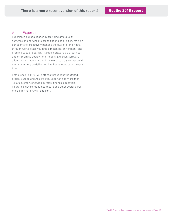# About Experian

Experian is a global leader in providing data quality software and services to organizations of all sizes. We help our clients to proactively manage the quality of their data through world-class validation, matching, enrichment, and profiling capabilities. With flexible software-as-a-service and on-premise deployment models, Experian software allows organizations around the world to truly connect with their customers by delivering intelligent interactions, every time.

Established in 1990, with offices throughout the United States, Europe and Asia Pacific, Experian has more than 13,500 clients worldwide in retail, finance, education, insurance, government, healthcare and other sectors. For more information, visit [edq.com](https://www.edq.com).